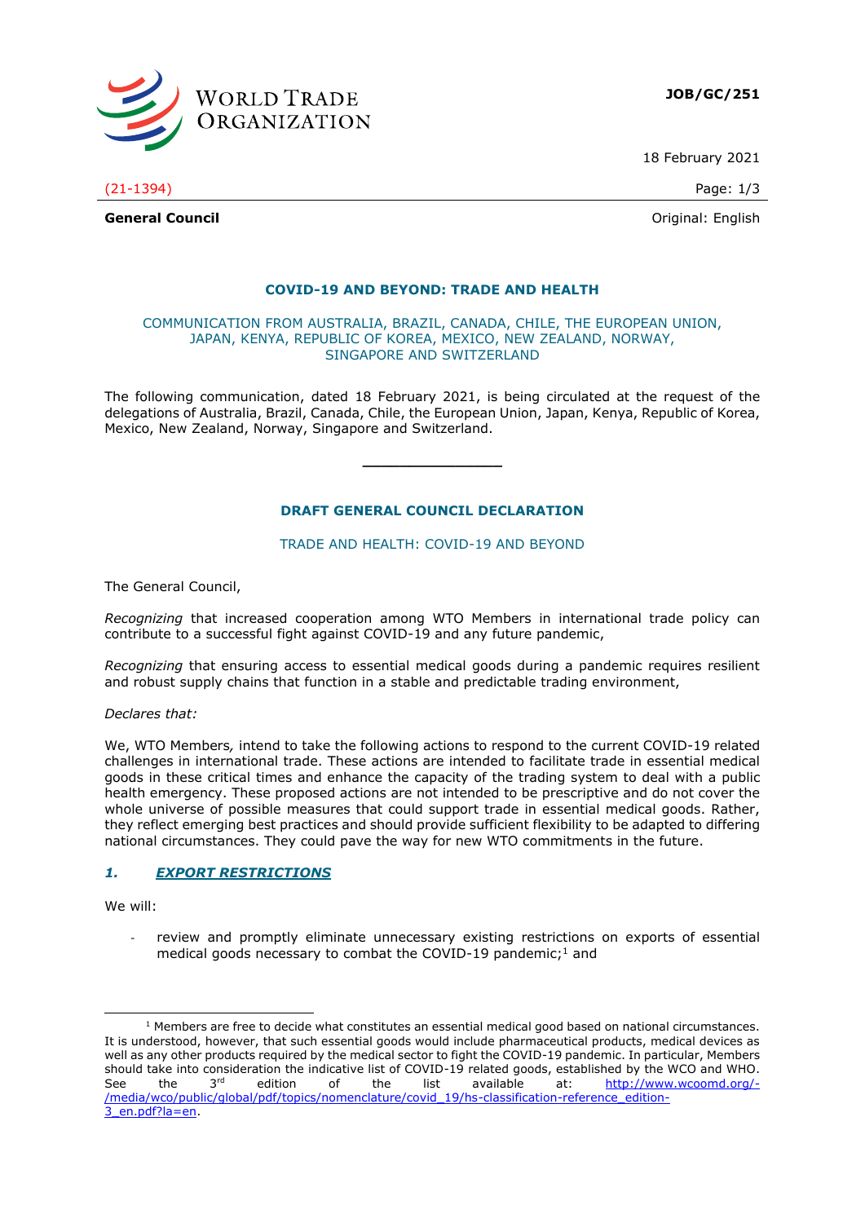

**JOB/GC/251**

18 February 2021

(21-1394) Page: 1/3

**General Council General Council Council Council Council Council Council Council Council Council Council Council Council Council Council Council Council Council Council Council Counc** 

#### **COVID-19 AND BEYOND: TRADE AND HEALTH**

#### COMMUNICATION FROM AUSTRALIA, BRAZIL, CANADA, CHILE, THE EUROPEAN UNION, JAPAN, KENYA, REPUBLIC OF KOREA, MEXICO, NEW ZEALAND, NORWAY, SINGAPORE AND SWITZERLAND

The following communication, dated 18 February 2021, is being circulated at the request of the delegations of Australia, Brazil, Canada, Chile, the European Union, Japan, Kenya, Republic of Korea, Mexico, New Zealand, Norway, Singapore and Switzerland.

**\_\_\_\_\_\_\_\_\_\_\_\_\_\_\_**

## **DRAFT GENERAL COUNCIL DECLARATION**

TRADE AND HEALTH: COVID-19 AND BEYOND

The General Council,

*Recognizing* that increased cooperation among WTO Members in international trade policy can contribute to a successful fight against COVID-19 and any future pandemic,

*Recognizing* that ensuring access to essential medical goods during a pandemic requires resilient and robust supply chains that function in a stable and predictable trading environment,

*Declares that:*

We, WTO Members*,* intend to take the following actions to respond to the current COVID-19 related challenges in international trade. These actions are intended to facilitate trade in essential medical goods in these critical times and enhance the capacity of the trading system to deal with a public health emergency. These proposed actions are not intended to be prescriptive and do not cover the whole universe of possible measures that could support trade in essential medical goods. Rather, they reflect emerging best practices and should provide sufficient flexibility to be adapted to differing national circumstances. They could pave the way for new WTO commitments in the future.

## *1. EXPORT RESTRICTIONS*

We will:

*-* review and promptly eliminate unnecessary existing restrictions on exports of essential medical goods necessary to combat the COVID-19 pandemic; $<sup>1</sup>$  and</sup>

 $1$  Members are free to decide what constitutes an essential medical good based on national circumstances. It is understood, however, that such essential goods would include pharmaceutical products, medical devices as well as any other products required by the medical sector to fight the COVID-19 pandemic. In particular, Members should take into consideration the indicative list of COVID-19 related goods, established by the WCO and WHO. See the 3rd edition of the list available at: [http://www.wcoomd.org/-](http://www.wcoomd.org/-/media/wco/public/global/pdf/topics/nomenclature/covid_19/hs-classification-reference_edition-3_en.pdf?la=en) [/media/wco/public/global/pdf/topics/nomenclature/covid\\_19/hs-classification-reference\\_edition-](http://www.wcoomd.org/-/media/wco/public/global/pdf/topics/nomenclature/covid_19/hs-classification-reference_edition-3_en.pdf?la=en)[3\\_en.pdf?la=en.](http://www.wcoomd.org/-/media/wco/public/global/pdf/topics/nomenclature/covid_19/hs-classification-reference_edition-3_en.pdf?la=en)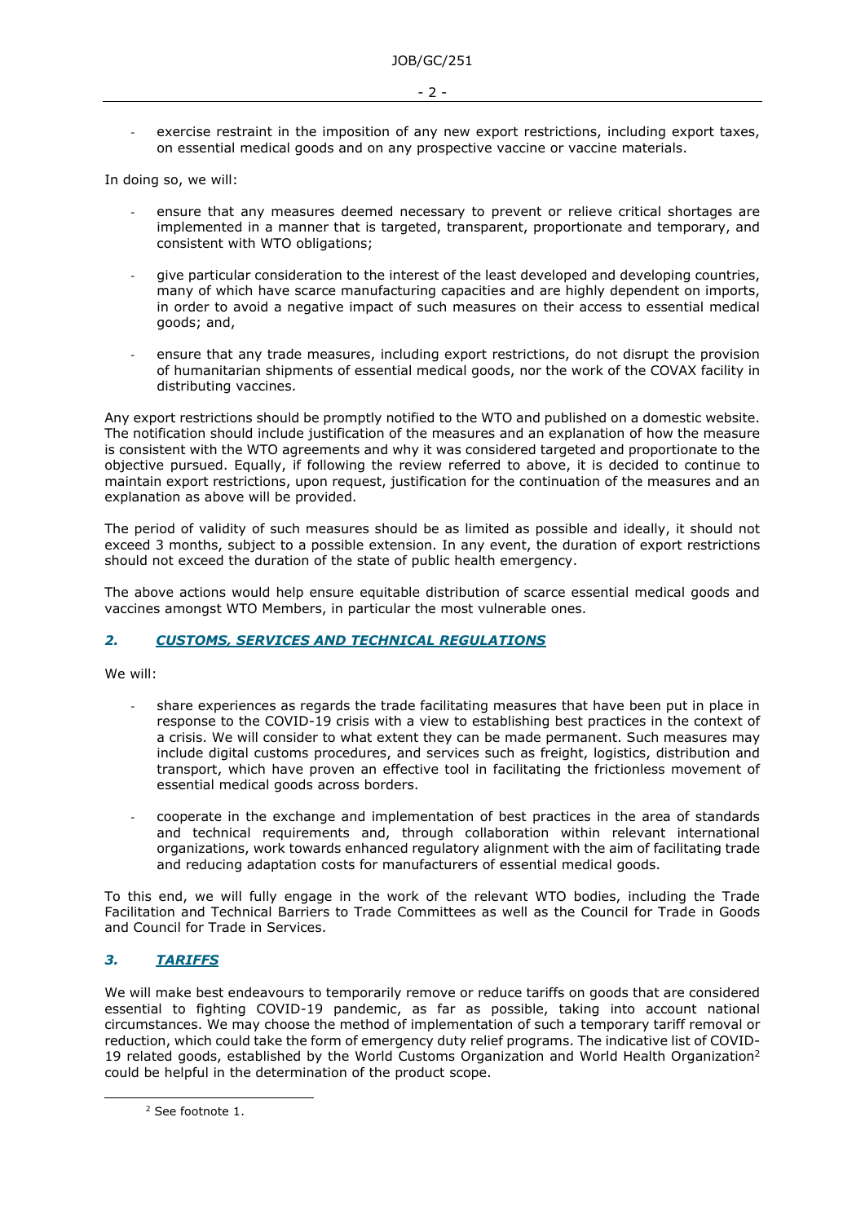- $-2 -$
- *-* exercise restraint in the imposition of any new export restrictions, including export taxes, on essential medical goods and on any prospective vaccine or vaccine materials.

In doing so, we will:

- *-* ensure that any measures deemed necessary to prevent or relieve critical shortages are implemented in a manner that is targeted, transparent, proportionate and temporary, and consistent with WTO obligations;
- *-* give particular consideration to the interest of the least developed and developing countries, many of which have scarce manufacturing capacities and are highly dependent on imports, in order to avoid a negative impact of such measures on their access to essential medical goods; and,
- *-* ensure that any trade measures, including export restrictions, do not disrupt the provision of humanitarian shipments of essential medical goods, nor the work of the COVAX facility in distributing vaccines.

Any export restrictions should be promptly notified to the WTO and published on a domestic website. The notification should include justification of the measures and an explanation of how the measure is consistent with the WTO agreements and why it was considered targeted and proportionate to the objective pursued. Equally, if following the review referred to above, it is decided to continue to maintain export restrictions, upon request, justification for the continuation of the measures and an explanation as above will be provided.

The period of validity of such measures should be as limited as possible and ideally, it should not exceed 3 months, subject to a possible extension. In any event, the duration of export restrictions should not exceed the duration of the state of public health emergency.

The above actions would help ensure equitable distribution of scarce essential medical goods and vaccines amongst WTO Members, in particular the most vulnerable ones.

## *2. CUSTOMS, SERVICES AND TECHNICAL REGULATIONS*

We will:

- *-* share experiences as regards the trade facilitating measures that have been put in place in response to the COVID-19 crisis with a view to establishing best practices in the context of a crisis. We will consider to what extent they can be made permanent. Such measures may include digital customs procedures, and services such as freight, logistics, distribution and transport, which have proven an effective tool in facilitating the frictionless movement of essential medical goods across borders.
- *-* cooperate in the exchange and implementation of best practices in the area of standards and technical requirements and, through collaboration within relevant international organizations, work towards enhanced regulatory alignment with the aim of facilitating trade and reducing adaptation costs for manufacturers of essential medical goods.

To this end, we will fully engage in the work of the relevant WTO bodies, including the Trade Facilitation and Technical Barriers to Trade Committees as well as the Council for Trade in Goods and Council for Trade in Services.

## *3. TARIFFS*

We will make best endeavours to temporarily remove or reduce tariffs on goods that are considered essential to fighting COVID-19 pandemic, as far as possible, taking into account national circumstances. We may choose the method of implementation of such a temporary tariff removal or reduction, which could take the form of emergency duty relief programs. The indicative list of COVID-19 related goods, established by the World Customs Organization and World Health Organization<sup>2</sup> could be helpful in the determination of the product scope.

<sup>2</sup> See footnote 1.